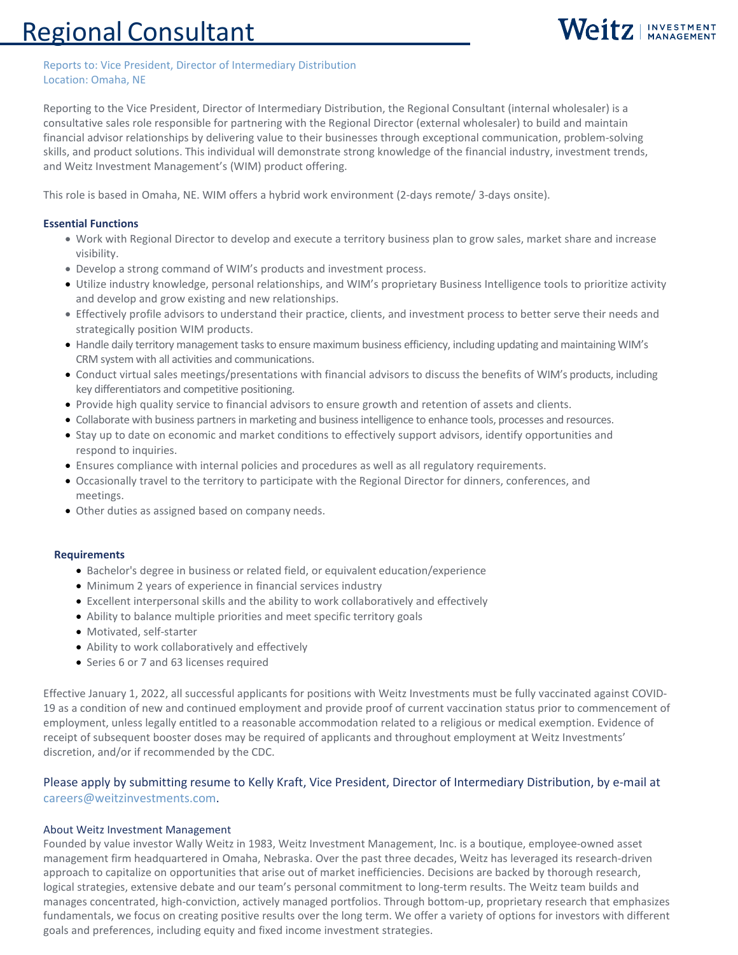# Regional Consultant



#### Reports to: Vice President, Director of Intermediary Distribution Location: Omaha, NE

Reporting to the Vice President, Director of Intermediary Distribution, the Regional Consultant (internal wholesaler) is a consultative sales role responsible for partnering with the Regional Director (external wholesaler) to build and maintain financial advisor relationships by delivering value to their businesses through exceptional communication, problem-solving skills, and product solutions. This individual will demonstrate strong knowledge of the financial industry, investment trends, and Weitz Investment Management's (WIM) product offering.

This role is based in Omaha, NE. WIM offers a hybrid work environment (2-days remote/ 3-days onsite).

### **Essential Functions**

- Work with Regional Director to develop and execute a territory business plan to grow sales, market share and increase visibility.
- Develop a strong command of WIM's products and investment process.
- Utilize industry knowledge, personal relationships, and WIM's proprietary Business Intelligence tools to prioritize activity and develop and grow existing and new relationships.
- Effectively profile advisors to understand their practice, clients, and investment process to better serve their needs and strategically position WIM products.
- Handle daily territory management tasks to ensure maximum business efficiency, including updating and maintaining WIM's CRM system with all activities and communications.
- Conduct virtual sales meetings/presentations with financial advisors to discuss the benefits of WIM's products, including key differentiators and competitive positioning.
- Provide high quality service to financial advisors to ensure growth and retention of assets and clients.
- Collaborate with business partners in marketing and business intelligence to enhance tools, processes and resources.
- Stay up to date on economic and market conditions to effectively support advisors, identify opportunities and respond to inquiries.
- Ensures compliance with internal policies and procedures as well as all regulatory requirements.
- Occasionally travel to the territory to participate with the Regional Director for dinners, conferences, and meetings.
- Other duties as assigned based on company needs.

### **Requirements**

- Bachelor's degree in business or related field, or equivalent education/experience
- Minimum 2 years of experience in financial services industry
- Excellent interpersonal skills and the ability to work collaboratively and effectively
- Ability to balance multiple priorities and meet specific territory goals
- Motivated, self-starter
- Ability to work collaboratively and effectively
- Series 6 or 7 and 63 licenses required

Effective January 1, 2022, all successful applicants for positions with Weitz Investments must be fully vaccinated against COVID-19 as a condition of new and continued employment and provide proof of current vaccination status prior to commencement of employment, unless legally entitled to a reasonable accommodation related to a religious or medical exemption. Evidence of receipt of subsequent booster doses may be required of applicants and throughout employment at Weitz Investments' discretion, and/or if recommended by the CDC.

## Please apply by submitting resume to Kelly Kraft, Vice President, Director of Intermediary Distribution, by e-mail at [careers@weitzinvestments.com.](mailto:careers@weitzinvestments.com)

#### About Weitz Investment Management

Founded by value investor Wally Weitz in 1983, Weitz Investment Management, Inc. is a boutique, employee-owned asset management firm headquartered in Omaha, Nebraska. Over the past three decades, Weitz has leveraged its research-driven approach to capitalize on opportunities that arise out of market inefficiencies. Decisions are backed by thorough research, logical strategies, extensive debate and our team's personal commitment to long-term results. The Weitz team builds and manages concentrated, high-conviction, actively managed portfolios. Through bottom-up, proprietary research that emphasizes fundamentals, we focus on creating positive results over the long term. We offer a variety of options for investors with different goals and preferences, including equity and fixed income investment strategies.